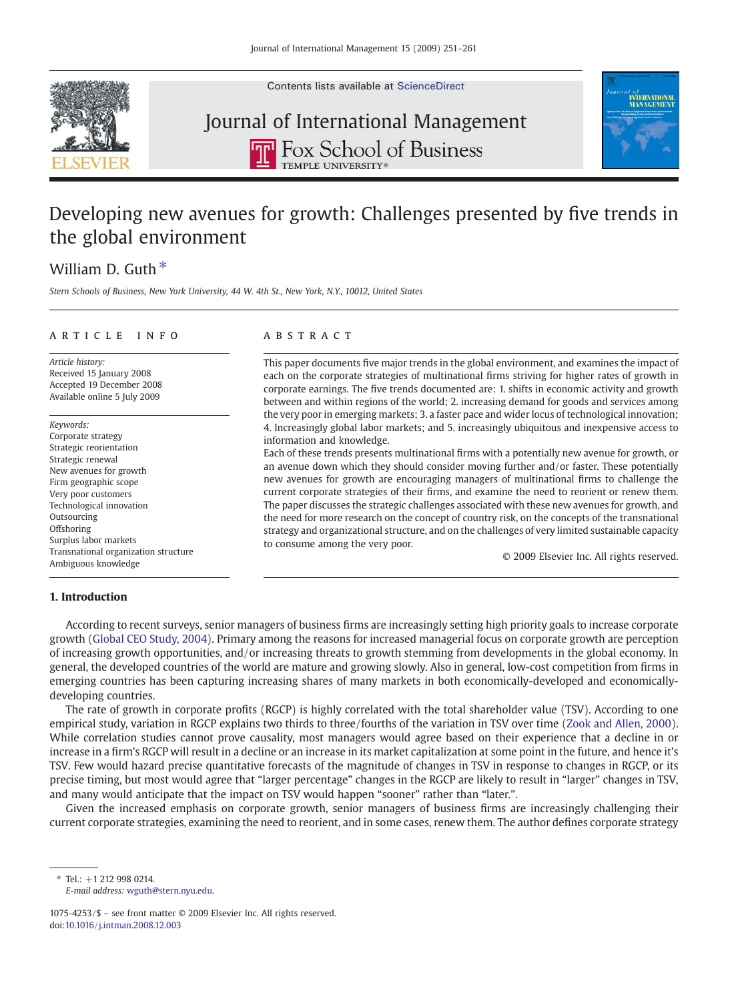

Contents lists available at [ScienceDirect](http://www.sciencedirect.com/science/journal/10754253)

## Journal of International Management**P** Fox School of Business **TEMPLE LINIVERSITY**



# Developing new avenues for growth: Challenges presented by five trends in the global environment

### William D. Guth  $*$

Stern Schools of Business, New York University, 44 W. 4th St., New York, N.Y., 10012, United States

#### article info abstract

Article history: Received 15 January 2008 Accepted 19 December 2008 Available online 5 July 2009

Keywords: Corporate strategy Strategic reorientation Strategic renewal New avenues for growth Firm geographic scope Very poor customers Technological innovation Outsourcing **Offshoring** Surplus labor markets Transnational organization structure Ambiguous knowledge

This paper documents five major trends in the global environment, and examines the impact of each on the corporate strategies of multinational firms striving for higher rates of growth in corporate earnings. The five trends documented are: 1. shifts in economic activity and growth between and within regions of the world; 2. increasing demand for goods and services among the very poor in emerging markets; 3. a faster pace and wider locus of technological innovation; 4. Increasingly global labor markets; and 5. increasingly ubiquitous and inexpensive access to information and knowledge.

Each of these trends presents multinational firms with a potentially new avenue for growth, or an avenue down which they should consider moving further and/or faster. These potentially new avenues for growth are encouraging managers of multinational firms to challenge the current corporate strategies of their firms, and examine the need to reorient or renew them. The paper discusses the strategic challenges associated with these new avenues for growth, and the need for more research on the concept of country risk, on the concepts of the transnational strategy and organizational structure, and on the challenges of very limited sustainable capacity to consume among the very poor.

© 2009 Elsevier Inc. All rights reserved.

### 1. Introduction

According to recent surveys, senior managers of business firms are increasingly setting high priority goals to increase corporate growth ([Global CEO Study, 2004\)](#page--1-0). Primary among the reasons for increased managerial focus on corporate growth are perception of increasing growth opportunities, and/or increasing threats to growth stemming from developments in the global economy. In general, the developed countries of the world are mature and growing slowly. Also in general, low-cost competition from firms in emerging countries has been capturing increasing shares of many markets in both economically-developed and economicallydeveloping countries.

The rate of growth in corporate profits (RGCP) is highly correlated with the total shareholder value (TSV). According to one empirical study, variation in RGCP explains two thirds to three/fourths of the variation in TSV over time [\(Zook and Allen, 2000\)](#page--1-0). While correlation studies cannot prove causality, most managers would agree based on their experience that a decline in or increase in a firm's RGCP will result in a decline or an increase in its market capitalization at some point in the future, and hence it's TSV. Few would hazard precise quantitative forecasts of the magnitude of changes in TSV in response to changes in RGCP, or its precise timing, but most would agree that "larger percentage" changes in the RGCP are likely to result in "larger" changes in TSV, and many would anticipate that the impact on TSV would happen "sooner" rather than "later.".

Given the increased emphasis on corporate growth, senior managers of business firms are increasingly challenging their current corporate strategies, examining the need to reorient, and in some cases, renew them. The author defines corporate strategy

 $*$  Tel: +1 212 998 0214. E-mail address: [wguth@stern.nyu.edu](mailto:wguth@stern.nyu.edu).

<sup>1075-4253/\$</sup> – see front matter © 2009 Elsevier Inc. All rights reserved. doi[:10.1016/j.intman.2008.12.003](http://dx.doi.org/10.1016/j.intman.2008.12.003)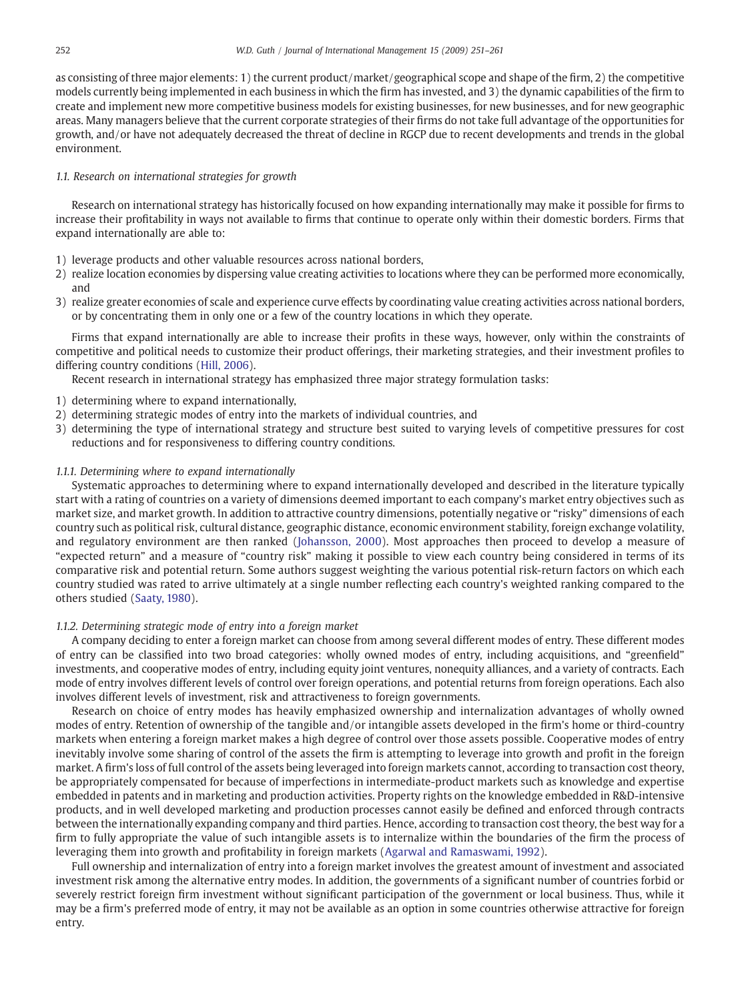as consisting of three major elements: 1) the current product/market/geographical scope and shape of the firm, 2) the competitive models currently being implemented in each business in which the firm has invested, and 3) the dynamic capabilities of the firm to create and implement new more competitive business models for existing businesses, for new businesses, and for new geographic areas. Many managers believe that the current corporate strategies of their firms do not take full advantage of the opportunities for growth, and/or have not adequately decreased the threat of decline in RGCP due to recent developments and trends in the global environment.

#### 1.1. Research on international strategies for growth

Research on international strategy has historically focused on how expanding internationally may make it possible for firms to increase their profitability in ways not available to firms that continue to operate only within their domestic borders. Firms that expand internationally are able to:

- 1) leverage products and other valuable resources across national borders,
- 2) realize location economies by dispersing value creating activities to locations where they can be performed more economically, and
- 3) realize greater economies of scale and experience curve effects by coordinating value creating activities across national borders, or by concentrating them in only one or a few of the country locations in which they operate.

Firms that expand internationally are able to increase their profits in these ways, however, only within the constraints of competitive and political needs to customize their product offerings, their marketing strategies, and their investment profiles to differing country conditions ([Hill, 2006](#page--1-0)).

Recent research in international strategy has emphasized three major strategy formulation tasks:

- 1) determining where to expand internationally,
- 2) determining strategic modes of entry into the markets of individual countries, and
- 3) determining the type of international strategy and structure best suited to varying levels of competitive pressures for cost reductions and for responsiveness to differing country conditions.

#### 1.1.1. Determining where to expand internationally

Systematic approaches to determining where to expand internationally developed and described in the literature typically start with a rating of countries on a variety of dimensions deemed important to each company's market entry objectives such as market size, and market growth. In addition to attractive country dimensions, potentially negative or "risky" dimensions of each country such as political risk, cultural distance, geographic distance, economic environment stability, foreign exchange volatility, and regulatory environment are then ranked ([Johansson, 2000\)](#page--1-0). Most approaches then proceed to develop a measure of "expected return" and a measure of "country risk" making it possible to view each country being considered in terms of its comparative risk and potential return. Some authors suggest weighting the various potential risk-return factors on which each country studied was rated to arrive ultimately at a single number reflecting each country's weighted ranking compared to the others studied [\(Saaty, 1980](#page--1-0)).

#### 1.1.2. Determining strategic mode of entry into a foreign market

A company deciding to enter a foreign market can choose from among several different modes of entry. These different modes of entry can be classified into two broad categories: wholly owned modes of entry, including acquisitions, and "greenfield" investments, and cooperative modes of entry, including equity joint ventures, nonequity alliances, and a variety of contracts. Each mode of entry involves different levels of control over foreign operations, and potential returns from foreign operations. Each also involves different levels of investment, risk and attractiveness to foreign governments.

Research on choice of entry modes has heavily emphasized ownership and internalization advantages of wholly owned modes of entry. Retention of ownership of the tangible and/or intangible assets developed in the firm's home or third-country markets when entering a foreign market makes a high degree of control over those assets possible. Cooperative modes of entry inevitably involve some sharing of control of the assets the firm is attempting to leverage into growth and profit in the foreign market. A firm's loss of full control of the assets being leveraged into foreign markets cannot, according to transaction cost theory, be appropriately compensated for because of imperfections in intermediate-product markets such as knowledge and expertise embedded in patents and in marketing and production activities. Property rights on the knowledge embedded in R&D-intensive products, and in well developed marketing and production processes cannot easily be defined and enforced through contracts between the internationally expanding company and third parties. Hence, according to transaction cost theory, the best way for a firm to fully appropriate the value of such intangible assets is to internalize within the boundaries of the firm the process of leveraging them into growth and profitability in foreign markets [\(Agarwal and Ramaswami, 1992](#page--1-0)).

Full ownership and internalization of entry into a foreign market involves the greatest amount of investment and associated investment risk among the alternative entry modes. In addition, the governments of a significant number of countries forbid or severely restrict foreign firm investment without significant participation of the government or local business. Thus, while it may be a firm's preferred mode of entry, it may not be available as an option in some countries otherwise attractive for foreign entry.